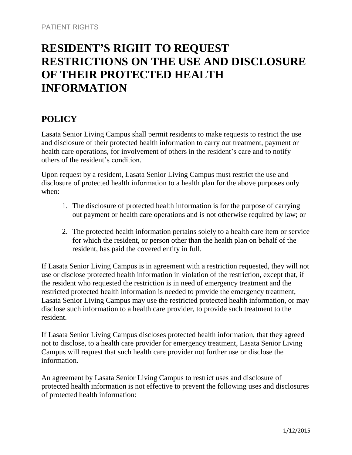# **RESIDENT'S RIGHT TO REQUEST RESTRICTIONS ON THE USE AND DISCLOSURE OF THEIR PROTECTED HEALTH INFORMATION**

## **POLICY**

Lasata Senior Living Campus shall permit residents to make requests to restrict the use and disclosure of their protected health information to carry out treatment, payment or health care operations, for involvement of others in the resident's care and to notify others of the resident's condition.

Upon request by a resident, Lasata Senior Living Campus must restrict the use and disclosure of protected health information to a health plan for the above purposes only when:

- 1. The disclosure of protected health information is for the purpose of carrying out payment or health care operations and is not otherwise required by law; or
- 2. The protected health information pertains solely to a health care item or service for which the resident, or person other than the health plan on behalf of the resident, has paid the covered entity in full.

If Lasata Senior Living Campus is in agreement with a restriction requested, they will not use or disclose protected health information in violation of the restriction, except that, if the resident who requested the restriction is in need of emergency treatment and the restricted protected health information is needed to provide the emergency treatment, Lasata Senior Living Campus may use the restricted protected health information, or may disclose such information to a health care provider, to provide such treatment to the resident.

If Lasata Senior Living Campus discloses protected health information, that they agreed not to disclose, to a health care provider for emergency treatment, Lasata Senior Living Campus will request that such health care provider not further use or disclose the information.

An agreement by Lasata Senior Living Campus to restrict uses and disclosure of protected health information is not effective to prevent the following uses and disclosures of protected health information: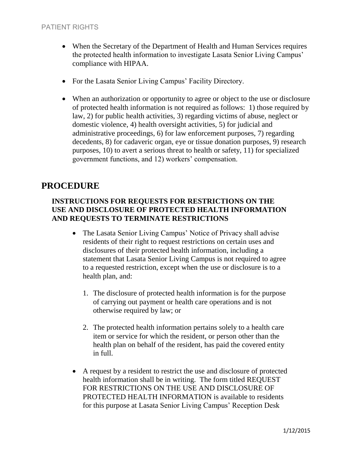- When the Secretary of the Department of Health and Human Services requires the protected health information to investigate Lasata Senior Living Campus' compliance with HIPAA.
- For the Lasata Senior Living Campus' Facility Directory.
- When an authorization or opportunity to agree or object to the use or disclosure of protected health information is not required as follows: 1) those required by law, 2) for public health activities, 3) regarding victims of abuse, neglect or domestic violence, 4) health oversight activities, 5) for judicial and administrative proceedings, 6) for law enforcement purposes, 7) regarding decedents, 8) for cadaveric organ, eye or tissue donation purposes, 9) research purposes, 10) to avert a serious threat to health or safety, 11) for specialized government functions, and 12) workers' compensation.

## **PROCEDURE**

### **INSTRUCTIONS FOR REQUESTS FOR RESTRICTIONS ON THE USE AND DISCLOSURE OF PROTECTED HEALTH INFORMATION AND REQUESTS TO TERMINATE RESTRICTIONS**

- The Lasata Senior Living Campus' Notice of Privacy shall advise residents of their right to request restrictions on certain uses and disclosures of their protected health information, including a statement that Lasata Senior Living Campus is not required to agree to a requested restriction, except when the use or disclosure is to a health plan, and:
	- 1. The disclosure of protected health information is for the purpose of carrying out payment or health care operations and is not otherwise required by law; or
	- 2. The protected health information pertains solely to a health care item or service for which the resident, or person other than the health plan on behalf of the resident, has paid the covered entity in full.
- A request by a resident to restrict the use and disclosure of protected health information shall be in writing. The form titled REQUEST FOR RESTRICTIONS ON THE USE AND DISCLOSURE OF PROTECTED HEALTH INFORMATION is available to residents for this purpose at Lasata Senior Living Campus' Reception Desk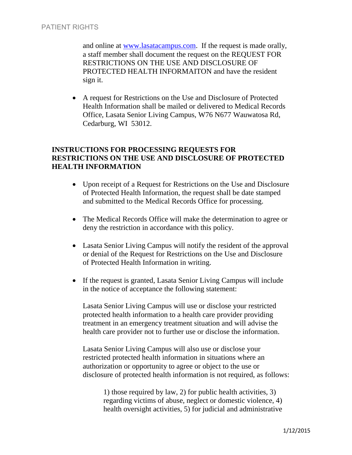and online at [www.lasatacampus.com.](http://www.lasatacampus.com/) If the request is made orally, a staff member shall document the request on the REQUEST FOR RESTRICTIONS ON THE USE AND DISCLOSURE OF PROTECTED HEALTH INFORMAITON and have the resident sign it.

 A request for Restrictions on the Use and Disclosure of Protected Health Information shall be mailed or delivered to Medical Records Office, Lasata Senior Living Campus, W76 N677 Wauwatosa Rd, Cedarburg, WI 53012.

### **INSTRUCTIONS FOR PROCESSING REQUESTS FOR RESTRICTIONS ON THE USE AND DISCLOSURE OF PROTECTED HEALTH INFORMATION**

- Upon receipt of a Request for Restrictions on the Use and Disclosure of Protected Health Information, the request shall be date stamped and submitted to the Medical Records Office for processing.
- The Medical Records Office will make the determination to agree or deny the restriction in accordance with this policy.
- Lasata Senior Living Campus will notify the resident of the approval or denial of the Request for Restrictions on the Use and Disclosure of Protected Health Information in writing.
- If the request is granted, Lasata Senior Living Campus will include in the notice of acceptance the following statement:

Lasata Senior Living Campus will use or disclose your restricted protected health information to a health care provider providing treatment in an emergency treatment situation and will advise the health care provider not to further use or disclose the information.

Lasata Senior Living Campus will also use or disclose your restricted protected health information in situations where an authorization or opportunity to agree or object to the use or disclosure of protected health information is not required, as follows:

1) those required by law, 2) for public health activities, 3) regarding victims of abuse, neglect or domestic violence, 4) health oversight activities, 5) for judicial and administrative